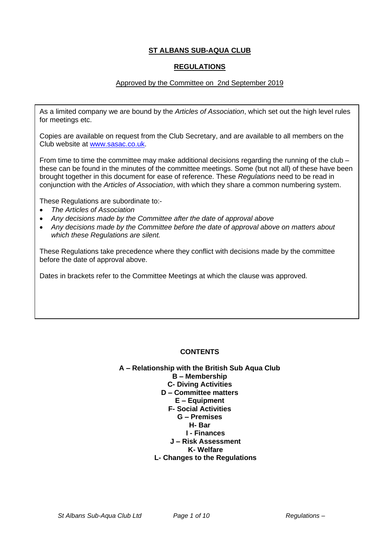# **ST ALBANS SUB-AQUA CLUB**

#### **REGULATIONS**

## Approved by the Committee on 2nd September 2019

As a limited company we are bound by the *Articles of Association*, which set out the high level rules for meetings etc.

Copies are available on request from the Club Secretary, and are available to all members on the Club website at [www.sasac.co.uk.](http://www.sasac.co.uk/)

From time to time the committee may make additional decisions regarding the running of the club  $$ these can be found in the minutes of the committee meetings. Some (but not all) of these have been brought together in this document for ease of reference. These *Regulations* need to be read in conjunction with the *Articles of Association*, with which they share a common numbering system.

These Regulations are subordinate to:-

- *The Articles of Association*
- *Any decisions made by the Committee after the date of approval above*
- *Any decisions made by the Committee before the date of approval above on matters about which these Regulations are silent.*

These Regulations take precedence where they conflict with decisions made by the committee before the date of approval above.

Dates in brackets refer to the Committee Meetings at which the clause was approved.

## **CONTENTS**

**A – Relationship with the British Sub Aqua Club B – Membership C- Diving Activities D – Committee matters E – Equipment F- Social Activities G – Premises H- Bar I - Finances J – Risk Assessment K- Welfare L- Changes to the Regulations**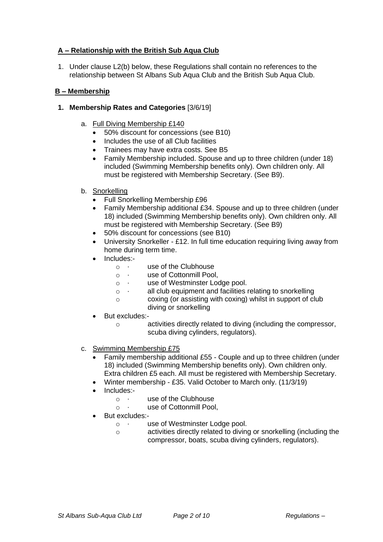# **A – Relationship with the British Sub Aqua Club**

1. Under clause L2(b) below, these Regulations shall contain no references to the relationship between St Albans Sub Aqua Club and the British Sub Aqua Club.

## **B – Membership**

## **1. Membership Rates and Categories** [3/6/19]

- a. Full Diving Membership £140
	- 50% discount for concessions (see B10)
	- Includes the use of all Club facilities
	- Trainees may have extra costs. See B5
	- Family Membership included. Spouse and up to three children (under 18) included (Swimming Membership benefits only). Own children only. All must be registered with Membership Secretary. (See B9).
- b. Snorkelling
	- Full Snorkelling Membership £96
	- Family Membership additional £34. Spouse and up to three children (under 18) included (Swimming Membership benefits only). Own children only. All must be registered with Membership Secretary. (See B9)
	- 50% discount for concessions (see B10)
	- University Snorkeller £12. In full time education requiring living away from home during term time.
	- Includes:-
		- $\circ$   $\cdot$  use of the Clubhouse
		- o · use of Cottonmill Pool,
		- o · use of Westminster Lodge pool.
		- o · all club equipment and facilities relating to snorkelling
		- o coxing (or assisting with coxing) whilst in support of club diving or snorkelling
	- But excludes:
		- o activities directly related to diving (including the compressor, scuba diving cylinders, regulators).
- c. Swimming Membership £75
	- Family membership additional £55 Couple and up to three children (under 18) included (Swimming Membership benefits only). Own children only. Extra children £5 each. All must be registered with Membership Secretary.
	- Winter membership £35. Valid October to March only. (11/3/19)
	- Includes:-
		- $\circ$   $\cdot$  use of the Clubhouse
		- o · use of Cottonmill Pool,
	- But excludes:
		- o · use of Westminster Lodge pool.
		- o activities directly related to diving or snorkelling (including the compressor, boats, scuba diving cylinders, regulators).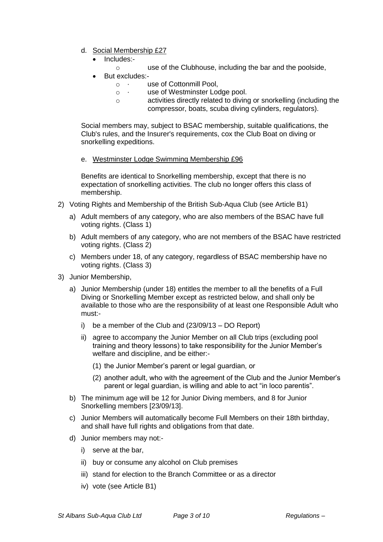- d. Social Membership £27
	- Includes:
		- o use of the Clubhouse, including the bar and the poolside,
	- But excludes:
		- o · use of Cottonmill Pool,
		- o · use of Westminster Lodge pool.
		- o activities directly related to diving or snorkelling (including the compressor, boats, scuba diving cylinders, regulators).

Social members may, subject to BSAC membership, suitable qualifications, the Club's rules, and the Insurer's requirements, cox the Club Boat on diving or snorkelling expeditions.

e. Westminster Lodge Swimming Membership £96

Benefits are identical to Snorkelling membership, except that there is no expectation of snorkelling activities. The club no longer offers this class of membership.

- 2) Voting Rights and Membership of the British Sub-Aqua Club (see Article B1)
	- a) Adult members of any category, who are also members of the BSAC have full voting rights. (Class 1)
	- b) Adult members of any category, who are not members of the BSAC have restricted voting rights. (Class 2)
	- c) Members under 18, of any category, regardless of BSAC membership have no voting rights. (Class 3)
- 3) Junior Membership,
	- a) Junior Membership (under 18) entitles the member to all the benefits of a Full Diving or Snorkelling Member except as restricted below, and shall only be available to those who are the responsibility of at least one Responsible Adult who must:
		- i) be a member of the Club and (23/09/13 DO Report)
		- ii) agree to accompany the Junior Member on all Club trips (excluding pool training and theory lessons) to take responsibility for the Junior Member's welfare and discipline, and be either:-
			- (1) the Junior Member's parent or legal guardian, or
			- (2) another adult, who with the agreement of the Club and the Junior Member's parent or legal guardian, is willing and able to act "in loco parentis".
	- b) The minimum age will be 12 for Junior Diving members, and 8 for Junior Snorkelling members [23/09/13].
	- c) Junior Members will automatically become Full Members on their 18th birthday, and shall have full rights and obligations from that date.
	- d) Junior members may not:
		- i) serve at the bar,
		- ii) buy or consume any alcohol on Club premises
		- iii) stand for election to the Branch Committee or as a director
		- iv) vote (see Article B1)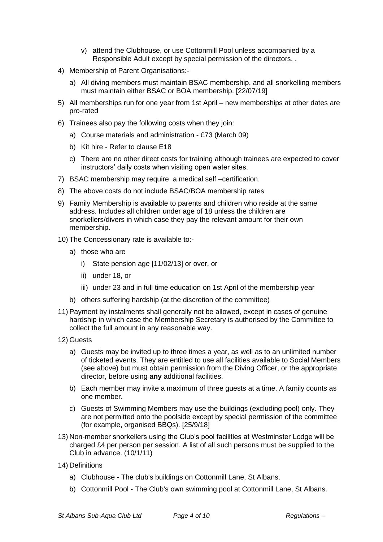- v) attend the Clubhouse, or use Cottonmill Pool unless accompanied by a Responsible Adult except by special permission of the directors. .
- 4) Membership of Parent Organisations:
	- a) All diving members must maintain BSAC membership, and all snorkelling members must maintain either BSAC or BOA membership. [22/07/19]
- 5) All memberships run for one year from 1st April new memberships at other dates are pro-rated
- 6) Trainees also pay the following costs when they join:
	- a) Course materials and administration £73 (March 09)
	- b) Kit hire Refer to clause E18
	- c) There are no other direct costs for training although trainees are expected to cover instructors' daily costs when visiting open water sites.
- 7) BSAC membership may require a medical self –certification.
- 8) The above costs do not include BSAC/BOA membership rates
- 9) Family Membership is available to parents and children who reside at the same address. Includes all children under age of 18 unless the children are snorkellers/divers in which case they pay the relevant amount for their own membership.
- 10) The Concessionary rate is available to:
	- a) those who are
		- i) State pension age [11/02/13] or over, or
		- ii) under 18, or
		- iii) under 23 and in full time education on 1st April of the membership year
	- b) others suffering hardship (at the discretion of the committee)
- 11) Payment by instalments shall generally not be allowed, except in cases of genuine hardship in which case the Membership Secretary is authorised by the Committee to collect the full amount in any reasonable way.
- 12) Guests
	- a) Guests may be invited up to three times a year, as well as to an unlimited number of ticketed events. They are entitled to use all facilities available to Social Members (see above) but must obtain permission from the Diving Officer, or the appropriate director, before using **any** additional facilities.
	- b) Each member may invite a maximum of three guests at a time. A family counts as one member.
	- c) Guests of Swimming Members may use the buildings (excluding pool) only. They are not permitted onto the poolside except by special permission of the committee (for example, organised BBQs). [25/9/18]
- 13) Non-member snorkellers using the Club's pool facilities at Westminster Lodge will be charged £4 per person per session. A list of all such persons must be supplied to the Club in advance. (10/1/11)
- 14) Definitions
	- a) Clubhouse The club's buildings on Cottonmill Lane, St Albans.
	- b) Cottonmill Pool The Club's own swimming pool at Cottonmill Lane, St Albans.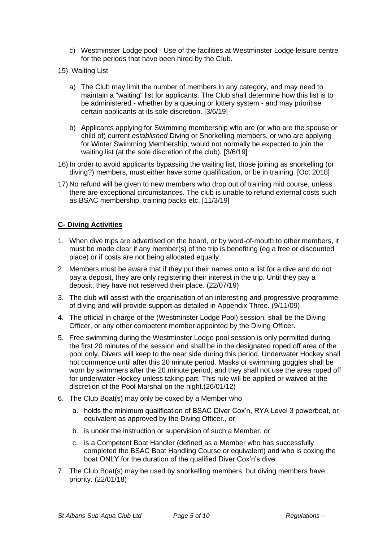- c) Westminster Lodge pool Use of the facilities at Westminster Lodge leisure centre for the periods that have been hired by the Club.
- 15) Waiting List
	- a) The Club may limit the number of members in any category, and may need to maintain a "waiting" list for applicants. The Club shall determine how this list is to be administered - whether by a queuing or lottery system - and may prioritise certain applicants at its sole discretion. [3/6/19]
	- b) Applicants applying for Swimming membership who are (or who are the spouse or child of) current *established* Diving or Snorkelling members, or who are applying for Winter Swimming Membership, would not normally be expected to join the waiting list (at the sole discretion of the club). [3/6/19]
- 16) In order to avoid applicants bypassing the waiting list, those joining as snorkelling (or diving?) members, must either have some qualification, or be in training. [Oct 2018]
- 17) No refund will be given to new members who drop out of training mid course, unless there are exceptional circumstances. The club is unable to refund external costs such as BSAC membership, training packs etc. [11/3/19]

## **C- Diving Activities**

- 1. When dive trips are advertised on the board, or by word-of-mouth to other members, it must be made clear if any member(s) of the trip is benefiting (eg a free or discounted place) or if costs are not being allocated equally.
- 2. Members must be aware that if they put their names onto a list for a dive and do not pay a deposit, they are only registering their interest in the trip. Until they pay a deposit, they have not reserved their place. (22/07/19)
- 3. The club will assist with the organisation of an interesting and progressive programme of diving and will provide support as detailed in Appendix Three. (9/11/09)
- 4. The official in charge of the (Westminster Lodge Pool) session, shall be the Diving Officer, or any other competent member appointed by the Diving Officer.
- 5. Free swimming during the Westminster Lodge pool session is only permitted during the first 20 minutes of the session and shall be in the designated roped off area of the pool only. Divers will keep to the near side during this period. Underwater Hockey shall not commence until after this 20 minute period. Masks or swimming goggles shall be worn by swimmers after the 20 minute period, and they shall not use the area roped off for underwater Hockey unless taking part. This rule will be applied or waived at the discretion of the Pool Marshal on the night.(26/01/12)
- 6. The Club Boat(s) may only be coxed by a Member who
	- a. holds the minimum qualification of BSAC Diver Cox'n, RYA Level 3 powerboat, or equivalent as approved by the Diving Officer., or
	- b. is under the instruction or supervision of such a Member, or
	- c. is a Competent Boat Handler (defined as a Member who has successfully completed the BSAC Boat Handling Course or equivalent) and who is coxing the boat ONLY for the duration of the qualified Diver Cox'n's dive.
- 7. The Club Boat(s) may be used by snorkelling members, but diving members have priority. (22/01/18)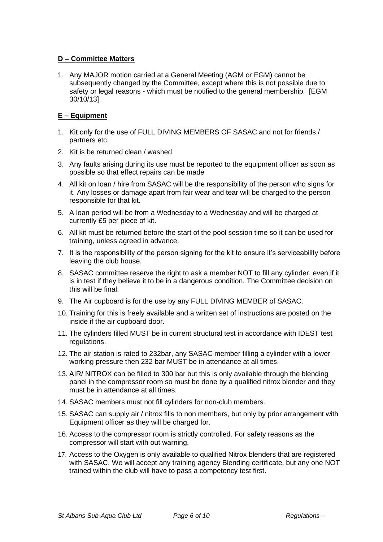# **D – Committee Matters**

1. Any MAJOR motion carried at a General Meeting (AGM or EGM) cannot be subsequently changed by the Committee, except where this is not possible due to safety or legal reasons - which must be notified to the general membership. [EGM 30/10/13]

# **E – Equipment**

- 1. Kit only for the use of FULL DIVING MEMBERS OF SASAC and not for friends / partners etc.
- 2. Kit is be returned clean / washed
- 3. Any faults arising during its use must be reported to the equipment officer as soon as possible so that effect repairs can be made
- 4. All kit on loan / hire from SASAC will be the responsibility of the person who signs for it. Any losses or damage apart from fair wear and tear will be charged to the person responsible for that kit.
- 5. A loan period will be from a Wednesday to a Wednesday and will be charged at currently £5 per piece of kit.
- 6. All kit must be returned before the start of the pool session time so it can be used for training, unless agreed in advance.
- 7. It is the responsibility of the person signing for the kit to ensure it's serviceability before leaving the club house.
- 8. SASAC committee reserve the right to ask a member NOT to fill any cylinder, even if it is in test if they believe it to be in a dangerous condition. The Committee decision on this will be final.
- 9. The Air cupboard is for the use by any FULL DIVING MEMBER of SASAC.
- 10. Training for this is freely available and a written set of instructions are posted on the inside if the air cupboard door.
- 11. The cylinders filled MUST be in current structural test in accordance with IDEST test regulations.
- 12. The air station is rated to 232bar, any SASAC member filling a cylinder with a lower working pressure then 232 bar MUST be in attendance at all times.
- 13. AIR/ NITROX can be filled to 300 bar but this is only available through the blending panel in the compressor room so must be done by a qualified nitrox blender and they must be in attendance at all times.
- 14. SASAC members must not fill cylinders for non-club members.
- 15. SASAC can supply air / nitrox fills to non members, but only by prior arrangement with Equipment officer as they will be charged for.
- 16. Access to the compressor room is strictly controlled. For safety reasons as the compressor will start with out warning.
- 17. Access to the Oxygen is only available to qualified Nitrox blenders that are registered with SASAC. We will accept any training agency Blending certificate, but any one NOT trained within the club will have to pass a competency test first.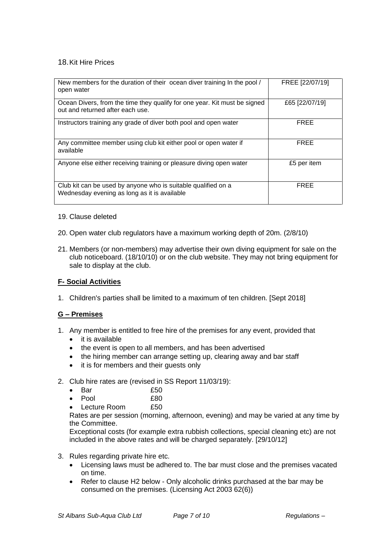## 18.Kit Hire Prices

| New members for the duration of their ocean diver training In the pool /<br>open water                        | FREE [22/07/19] |
|---------------------------------------------------------------------------------------------------------------|-----------------|
| Ocean Divers, from the time they qualify for one year. Kit must be signed<br>out and returned after each use. | £65 [22/07/19]  |
| Instructors training any grade of diver both pool and open water                                              | <b>FREE</b>     |
| Any committee member using club kit either pool or open water if<br>available                                 | <b>FREE</b>     |
| Anyone else either receiving training or pleasure diving open water                                           | £5 per item     |
| Club kit can be used by anyone who is suitable qualified on a<br>Wednesday evening as long as it is available | <b>FREE</b>     |

#### 19. Clause deleted

- 20. Open water club regulators have a maximum working depth of 20m. (2/8/10)
- 21. Members (or non-members) may advertise their own diving equipment for sale on the club noticeboard. (18/10/10) or on the club website. They may not bring equipment for sale to display at the club.

## **F- Social Activities**

1. Children's parties shall be limited to a maximum of ten children. [Sept 2018]

## **G – Premises**

- 1. Any member is entitled to free hire of the premises for any event, provided that
	- it is available
	- the event is open to all members, and has been advertised
	- the hiring member can arrange setting up, clearing away and bar staff
	- it is for members and their guests only
- 2. Club hire rates are (revised in SS Report 11/03/19):
	- Bar £50
	- Pool £80
	- **Lecture Room** £50

Rates are per session (morning, afternoon, evening) and may be varied at any time by the Committee.

Exceptional costs (for example extra rubbish collections, special cleaning etc) are not included in the above rates and will be charged separately. [29/10/12]

- 3. Rules regarding private hire etc.
	- Licensing laws must be adhered to. The bar must close and the premises vacated on time.
	- Refer to clause H2 below Only alcoholic drinks purchased at the bar may be consumed on the premises. (Licensing Act 2003 62(6))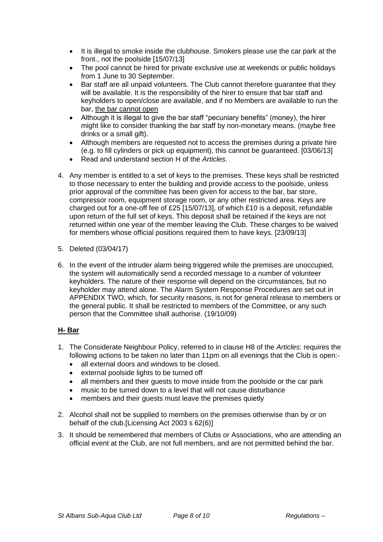- It is illegal to smoke inside the clubhouse. Smokers please use the car park at the front., not the poolside [15/07/13]
- The pool cannot be hired for private exclusive use at weekends or public holidays from 1 June to 30 September.
- Bar staff are all unpaid volunteers. The Club cannot therefore guarantee that they will be available. It is the responsibility of the hirer to ensure that bar staff and keyholders to open/close are available, and if no Members are available to run the bar, the bar cannot open
- Although it is illegal to give the bar staff "pecuniary benefits" (money), the hirer might like to consider thanking the bar staff by non-monetary means. (maybe free drinks or a small gift).
- Although members are requested not to access the premises during a private hire (e.g. to fill cylinders or pick up equipment), this cannot be guaranteed. [03/06/13]
- Read and understand section H of the *Articles*.
- 4. Any member is entitled to a set of keys to the premises. These keys shall be restricted to those necessary to enter the building and provide access to the poolside, unless prior approval of the committee has been given for access to the bar, bar store, compressor room, equipment storage room, or any other restricted area. Keys are charged out for a one-off fee of £25  $[15/07/13]$ , of which £10 is a deposit, refundable upon return of the full set of keys. This deposit shall be retained if the keys are not returned within one year of the member leaving the Club. These charges to be waived for members whose official positions required them to have keys. [23/09/13]
- 5. Deleted (03/04/17)
- 6. In the event of the intruder alarm being triggered while the premises are unoccupied, the system will automatically send a recorded message to a number of volunteer keyholders. The nature of their response will depend on the circumstances, but no keyholder may attend alone. The Alarm System Response Procedures are set out in APPENDIX TWO, which, for security reasons, is not for general release to members or the general public. It shall be restricted to members of the Committee, or any such person that the Committee shall authorise. (19/10/09)

## **H- Bar**

- 1. The Considerate Neighbour Policy, referred to in clause H8 of the *Articles*: requires the following actions to be taken no later than 11pm on all evenings that the Club is open:-
	- all external doors and windows to be closed.
	- external poolside lights to be turned off
	- all members and their guests to move inside from the poolside or the car park
	- music to be turned down to a level that will not cause disturbance
	- members and their quests must leave the premises quietly
- 2. Alcohol shall not be supplied to members on the premises otherwise than by or on behalf of the club.[Licensing Act 2003 s 62(6)]
- 3. It should be remembered that members of Clubs or Associations, who are attending an official event at the Club, are not full members, and are not permitted behind the bar.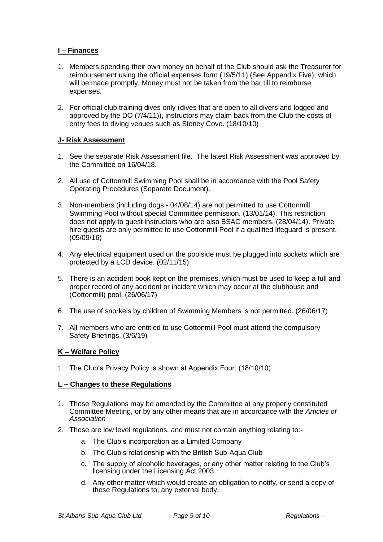## **I – Finances**

- 1. Members spending their own money on behalf of the Club should ask the Treasurer for reimbursement using the official expenses form (19/5/11) (See Appendix Five), which will be made promptly. Money must not be taken from the bar till to reimburse expenses.
- 2. For official club training dives only (dives that are open to all divers and logged and approved by the DO (7/4/11)), instructors may claim back from the Club the costs of entry fees to diving venues such as Stoney Cove. (18/10/10)

## **J- Risk Assessment**

- 1. See the separate Risk Assessment file. The latest Risk Assessment was approved by the Committee on 16/04/18.
- 2. All use of Cottonmill Swimming Pool shall be in accordance with the Pool Safety Operating Procedures (Separate Document).
- 3. Non-members (including dogs 04/08/14) are not permitted to use Cottonmill Swimming Pool without special Committee permission. (13/01/14). This restriction does not apply to guest instructors who are also BSAC members. (28/04/14). Private hire guests are only permitted to use Cottonmill Pool if a qualified lifeguard is present. (05/09/16)
- 4. Any electrical equipment used on the poolside must be plugged into sockets which are protected by a LCD device. (02/11/15)
- 5. There is an accident book kept on the premises, which must be used to keep a full and proper record of any accident or incident which may occur at the clubhouse and (Cottonmill) pool. (26/06/17)
- 6. The use of snorkels by children of Swimming Members is not permitted. (26/06/17)
- 7. All members who are entitled to use Cottonmill Pool must attend the compulsory Safety Briefings. (3/6/19)

## **K – Welfare Policy**

1. The Club's Privacy Policy is shown at Appendix Four. (18/10/10)

#### **L – Changes to these Regulations**

- 1. These Regulations may be amended by the Committee at any properly constituted Committee Meeting, or by any other means that are in accordance with the *Articles of Association*
- 2. These are low level regulations, and must not contain anything relating to:
	- a. The Club's incorporation as a Limited Company
	- b. The Club's relationship with the British Sub-Aqua Club
	- c. The supply of alcoholic beverages, or any other matter relating to the Club's licensing under the Licensing Act 2003.
	- d. Any other matter which would create an obligation to notify, or send a copy of these Regulations to, any external body.